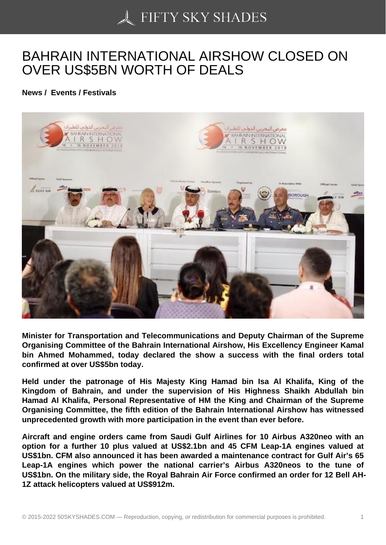## [BAHRAIN INTERNATI](https://50skyshades.com)ONAL AIRSHOW CLOSED ON OVER US\$5BN WORTH OF DEALS

News / Events / Festivals

Minister for Transportation and Telecommunications and Deputy Chairman of the Supreme Organising Committee of the Bahrain International Airshow, His Excellency Engineer Kamal bin Ahmed Mohammed, today declared the show a success with the final orders total confirmed at over US\$5bn today.

Held under the patronage of His Majesty King Hamad bin Isa Al Khalifa, King of the Kingdom of Bahrain, and under the supervision of His Highness Shaikh Abdullah bin Hamad Al Khalifa, Personal Representative of HM the King and Chairman of the Supreme Organising Committee, the fifth edition of the Bahrain International Airshow has witnessed unprecedented growth with more participation in the event than ever before.

Aircraft and engine orders came from Saudi Gulf Airlines for 10 Airbus A320neo with an option for a further 10 plus valued at US\$2.1bn and 45 CFM Leap-1A engines valued at US\$1bn. CFM also announced it has been awarded a maintenance contract for Gulf Air's 65 Leap-1A engines which power the national carrier's Airbus A320neos to the tune of US\$1bn. On the military side, the Royal Bahrain Air Force confirmed an order for 12 Bell AH-1Z attack helicopters valued at US\$912m.